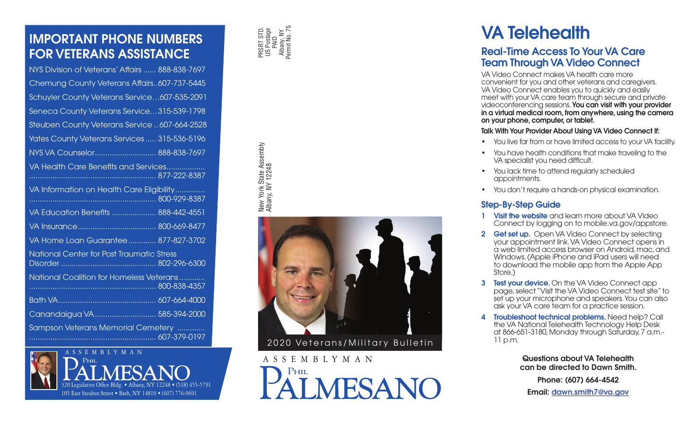## IMPORTANT PHONE NUMBERS FOR VETERANS ASSISTANCE

| NYS Division of Veterans' Affairs  888-838-7697           |  |  |  |  |
|-----------------------------------------------------------|--|--|--|--|
| Chemung County Veterans Affairs607-737-5445               |  |  |  |  |
| Schuyler County Veterans Service607-535-2091              |  |  |  |  |
| Seneca County Veterans Service315-539-1798                |  |  |  |  |
| Steuben County Veterans Service  607-664-2528             |  |  |  |  |
| Yates County Veterans Services  315-536-5196              |  |  |  |  |
| NYS VA Counselor 888-838-7697                             |  |  |  |  |
| VA Health Care Benefits and Services                      |  |  |  |  |
| VA Information on Health Care Eligibility<br>300-929-8387 |  |  |  |  |
| VA Education Benefits  888-442-4551                       |  |  |  |  |
|                                                           |  |  |  |  |
| VA Home Loan Guarantee  877-827-3702                      |  |  |  |  |
| National Center for Post Traumatic Stress                 |  |  |  |  |
| National Coalition for Homeless Veterans                  |  |  |  |  |
|                                                           |  |  |  |  |
| Canandaigua VA 585-394-2000                               |  |  |  |  |
| Sampson Veterans Memorial Cemetery                        |  |  |  |  |





New York State Assembly Albany, NY 12248



2020 Veterans/Military Bulletin

MESANO

# VA Telehealth

## Real-Time Access To Your VA Care Team Through VA Video Connect

VA Video Connect makes VA health care more convenient for you and other veterans and caregivers. VA Video Connect enables you to quickly and easily meet with your VA care team through secure and private videoconferencing sessions. You can visit with your provider in a virtual medical room, from anywhere, using the camera on your phone, computer, or tablet.

#### Talk With Your Provider About Using VA Video Connect If:

- You live far from or have limited access to your VA facility.
- You have health conditions that make traveling to the VA specialist you need difficult.
- You lack time to attend regularly scheduled appointments.
- You don't require a hands-on physical examination.

## Step-By-Step Guide

- 1 Visit the website and learn more about VA Video Connect by logging on to mobile.va.gov/appstore.
- 2 Get set up. Open VA Video Connect by selecting your appointment link. VA Video Connect opens in a web limited access browser on Android, mac, and Windows. (Apple iPhone and iPad users will need to download the mobile app from the Apple App Store.)
- **3 Test your device.** On the VA Video Connect app page, select "Visit the VA Video Connect test site" to set up your microphone and speakers. You can also ask your VA care team for a practice session.
- 4 Troubleshoot technical problems. Need help? Call the VA National Telehealth Technology Help Desk at 866-651-3180, Monday through Saturday, 7 a.m.- 11 p.m.

Questions about VA Telehealth can be directed to Dawn Smith.

Phone: (607) 664-4542 Email: dawn.smith7@va.gov